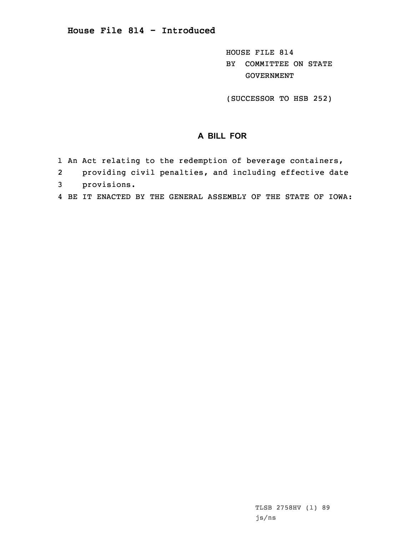## **House File 814 - Introduced**

HOUSE FILE 814 BY COMMITTEE ON STATE GOVERNMENT

(SUCCESSOR TO HSB 252)

## **A BILL FOR**

- 1 An Act relating to the redemption of beverage containers,
- 2providing civil penalties, and including effective date
- 3 provisions.
- 4 BE IT ENACTED BY THE GENERAL ASSEMBLY OF THE STATE OF IOWA: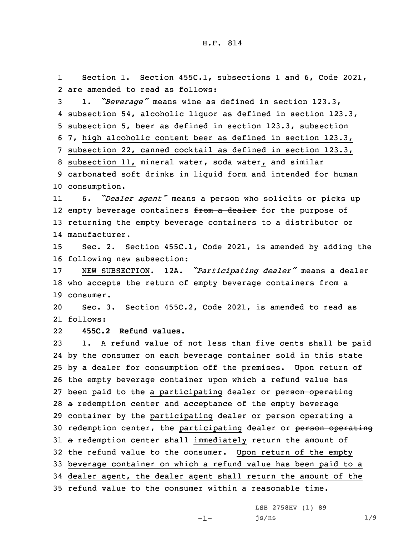1 Section 1. Section 455C.1, subsections 1 and 6, Code 2021, 2 are amended to read as follows:

 1. *"Beverage"* means wine as defined in section 123.3, subsection 54, alcoholic liquor as defined in section 123.3, subsection 5, beer as defined in section 123.3, subsection 7, high alcoholic content beer as defined in section 123.3, subsection 22, canned cocktail as defined in section 123.3, subsection 11, mineral water, soda water, and similar carbonated soft drinks in liquid form and intended for human consumption.

11 6. *"Dealer agent"* means <sup>a</sup> person who solicits or picks up 12 empty beverage containers <del>from a dealer</del> for the purpose of 13 returning the empty beverage containers to <sup>a</sup> distributor or 14 manufacturer.

15 Sec. 2. Section 455C.1, Code 2021, is amended by adding the 16 following new subsection:

<sup>17</sup> NEW SUBSECTION. 12A. *"Participating dealer"* means <sup>a</sup> dealer 18 who accepts the return of empty beverage containers from <sup>a</sup> 19 consumer.

20 Sec. 3. Section 455C.2, Code 2021, is amended to read as 21 follows:

22**455C.2 Refund values.**

 1. <sup>A</sup> refund value of not less than five cents shall be paid by the consumer on each beverage container sold in this state by <sup>a</sup> dealer for consumption off the premises. Upon return of the empty beverage container upon which <sup>a</sup> refund value has 27 been paid to the a participating dealer or person operating <sup>a</sup> redemption center and acceptance of the empty beverage 29 container by the participating dealer or person operating a 30 redemption center, the participating dealer or person operating 31 a redemption center shall immediately return the amount of the refund value to the consumer. Upon return of the empty beverage container on which <sup>a</sup> refund value has been paid to <sup>a</sup> dealer agent, the dealer agent shall return the amount of the refund value to the consumer within <sup>a</sup> reasonable time.

> LSB 2758HV (1) 89 js/ns 1/9

-1-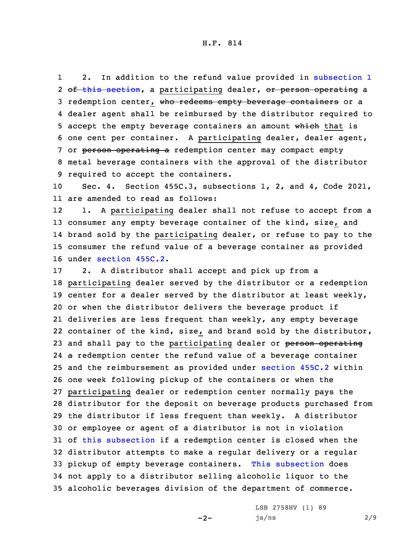H.F. 814

1 2. In addition to the refund value provided in [subsection](https://www.legis.iowa.gov/docs/code/2021/455C.2.pdf) 1 2 <del>of this [section](https://www.legis.iowa.gov/docs/code/2021/455C.2.pdf)</del>, a participating dealer, <del>or person operating</del> a 3 redemption center, who redeems empty beverage containers or a 4 dealer agent shall be reimbursed by the distributor required to 5 accept the empty beverage containers an amount which that is 6 one cent per container. <sup>A</sup> participating dealer, dealer agent, 7 or person operating a redemption center may compact empty 8 metal beverage containers with the approval of the distributor 9 required to accept the containers.

10 Sec. 4. Section 455C.3, subsections 1, 2, and 4, Code 2021, 11 are amended to read as follows:

12 1. <sup>A</sup> participating dealer shall not refuse to accept from <sup>a</sup> consumer any empty beverage container of the kind, size, and brand sold by the participating dealer, or refuse to pay to the consumer the refund value of <sup>a</sup> beverage container as provided under [section](https://www.legis.iowa.gov/docs/code/2021/455C.2.pdf) 455C.2.

 2. <sup>A</sup> distributor shall accept and pick up from <sup>a</sup> participating dealer served by the distributor or <sup>a</sup> redemption center for <sup>a</sup> dealer served by the distributor at least weekly, or when the distributor delivers the beverage product if deliveries are less frequent than weekly, any empty beverage container of the kind, size, and brand sold by the distributor, 23 and shall pay to the participating dealer or person operating <sup>a</sup> redemption center the refund value of <sup>a</sup> beverage container and the reimbursement as provided under [section](https://www.legis.iowa.gov/docs/code/2021/455C.2.pdf) 455C.2 within one week following pickup of the containers or when the participating dealer or redemption center normally pays the distributor for the deposit on beverage products purchased from the distributor if less frequent than weekly. <sup>A</sup> distributor or employee or agent of <sup>a</sup> distributor is not in violation of this [subsection](https://www.legis.iowa.gov/docs/code/2021/455C.3.pdf) if <sup>a</sup> redemption center is closed when the distributor attempts to make <sup>a</sup> regular delivery or <sup>a</sup> regular pickup of empty beverage containers. This [subsection](https://www.legis.iowa.gov/docs/code/2021/455C.3.pdf) does not apply to <sup>a</sup> distributor selling alcoholic liquor to the alcoholic beverages division of the department of commerce.

 $-2-$ 

LSB 2758HV (1) 89 js/ns 2/9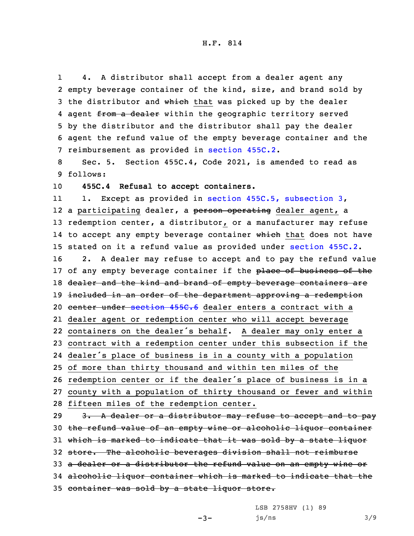1 4. <sup>A</sup> distributor shall accept from <sup>a</sup> dealer agent any 2 empty beverage container of the kind, size, and brand sold by 3 the distributor and which that was picked up by the dealer 4 agent <del>from a dealer</del> within the geographic territory served 5 by the distributor and the distributor shall pay the dealer 6 agent the refund value of the empty beverage container and the 7 reimbursement as provided in [section](https://www.legis.iowa.gov/docs/code/2021/455C.2.pdf) 455C.2.

8 Sec. 5. Section 455C.4, Code 2021, is amended to read as 9 follows:

10 **455C.4 Refusal to accept containers.**

11 1. Except as provided in section 455C.5, [subsection](https://www.legis.iowa.gov/docs/code/2021/455C.5.pdf) 3, 12 a participating dealer, a <del>person operating</del> dealer agent, a 13 redemption center, <sup>a</sup> distributor, or <sup>a</sup> manufacturer may refuse 14 to accept any empty beverage container <del>which</del> that does not have 15 stated on it <sup>a</sup> refund value as provided under [section](https://www.legis.iowa.gov/docs/code/2021/455C.2.pdf) 455C.2. 16 2. <sup>A</sup> dealer may refuse to accept and to pay the refund value 17 of any empty beverage container if the place of business of the 18 dealer and the kind and brand of empty beverage containers are 19 included in an order of the department approving a redemption 20 center under [section](https://www.legis.iowa.gov/docs/code/2021/455C.6.pdf) 455C.6 dealer enters a contract with a 21 dealer agent or redemption center who will accept beverage 22 containers on the dealer's behalf. <sup>A</sup> dealer may only enter <sup>a</sup> 23 contract with <sup>a</sup> redemption center under this subsection if the 24 dealer's place of business is in <sup>a</sup> county with <sup>a</sup> population 25 of more than thirty thousand and within ten miles of the <sup>26</sup> redemption center or if the dealer's place of business is in <sup>a</sup> 27 county with <sup>a</sup> population of thirty thousand or fewer and within 28 fifteen miles of the redemption center. 29 3. A dealer or a distributor may refuse to accept and to pay 30 the refund value of an empty wine or alcoholic liquor container 31 which is marked to indicate that it was sold by a state liquor 32 store. The alcoholic beverages division shall not reimburse 33 a dealer or a distributor the refund value on an empty wine or 34 alcoholic liquor container which is marked to indicate that the

35 container was sold by <sup>a</sup> state liquor store.

LSB 2758HV (1) 89

 $js/ns$  3/9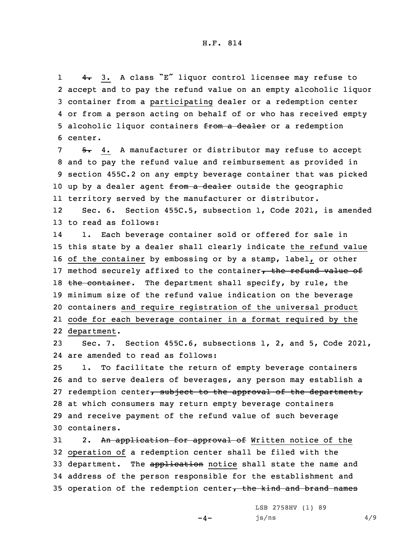1 4. 3. <sup>A</sup> class "E" liquor control licensee may refuse to 2 accept and to pay the refund value on an empty alcoholic liquor 3 container from <sup>a</sup> participating dealer or <sup>a</sup> redemption center 4 or from <sup>a</sup> person acting on behalf of or who has received empty 5 alcoholic liquor containers from a dealer or a redemption 6 center.

 $5. 4.$  A manufacturer or distributor may refuse to accept 8 and to pay the refund value and reimbursement as provided in 9 section 455C.2 on any empty beverage container that was picked 10 up by a dealer agent from a dealer outside the geographic 11 territory served by the manufacturer or distributor.

12 Sec. 6. Section 455C.5, subsection 1, Code 2021, is amended 13 to read as follows:

14 1. Each beverage container sold or offered for sale in 15 this state by <sup>a</sup> dealer shall clearly indicate the refund value 16 of the container by embossing or by <sup>a</sup> stamp, label, or other 17 method securely affixed to the container, the refund value of 18 the container. The department shall specify, by rule, the 19 minimum size of the refund value indication on the beverage 20 containers and require registration of the universal product 21 code for each beverage container in <sup>a</sup> format required by the 22 department.

23 Sec. 7. Section 455C.6, subsections 1, 2, and 5, Code 2021, 24 are amended to read as follows:

 1. To facilitate the return of empty beverage containers and to serve dealers of beverages, any person may establish <sup>a</sup> 27 redemption center, subject to the approval of the department, at which consumers may return empty beverage containers and receive payment of the refund value of such beverage containers.

31 2. An application for approval of Written notice of the 32 operation of <sup>a</sup> redemption center shall be filed with the 33 department. The application notice shall state the name and 34 address of the person responsible for the establishment and 35 operation of the redemption center, the kind and brand names

 $-4-$ 

LSB 2758HV (1) 89  $js/ns$  4/9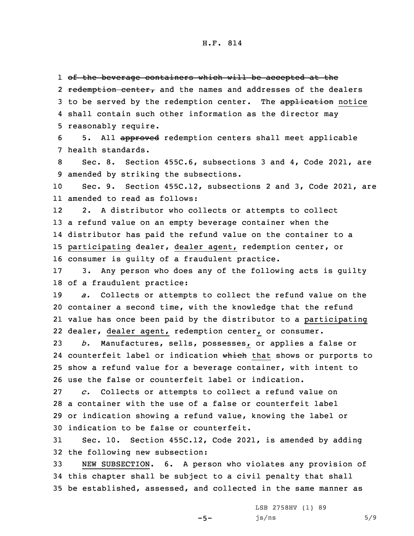1 <del>of the beverage containers which will be accepted at the</del> 2 redemption center, and the names and addresses of the dealers 3 to be served by the redemption center. The application notice 4 shall contain such other information as the director may 5 reasonably require.

6 5. All approved redemption centers shall meet applicable 7 health standards.

8 Sec. 8. Section 455C.6, subsections 3 and 4, Code 2021, are 9 amended by striking the subsections.

10 Sec. 9. Section 455C.12, subsections 2 and 3, Code 2021, are 11 amended to read as follows:

12 2. <sup>A</sup> distributor who collects or attempts to collect <sup>a</sup> refund value on an empty beverage container when the distributor has paid the refund value on the container to <sup>a</sup> participating dealer, dealer agent, redemption center, or consumer is guilty of <sup>a</sup> fraudulent practice.

17 3. Any person who does any of the following acts is guilty 18 of <sup>a</sup> fraudulent practice:

 *a.* Collects or attempts to collect the refund value on the container <sup>a</sup> second time, with the knowledge that the refund value has once been paid by the distributor to <sup>a</sup> participating dealer, dealer agent, redemption center, or consumer.

 *b.* Manufactures, sells, possesses, or applies <sup>a</sup> false or 24 counterfeit label or indication which that shows or purports to show <sup>a</sup> refund value for <sup>a</sup> beverage container, with intent to use the false or counterfeit label or indication.

 *c.* Collects or attempts to collect <sup>a</sup> refund value on <sup>a</sup> container with the use of <sup>a</sup> false or counterfeit label or indication showing <sup>a</sup> refund value, knowing the label or indication to be false or counterfeit.

31 Sec. 10. Section 455C.12, Code 2021, is amended by adding 32 the following new subsection:

33 NEW SUBSECTION. 6. <sup>A</sup> person who violates any provision of 34 this chapter shall be subject to <sup>a</sup> civil penalty that shall 35 be established, assessed, and collected in the same manner as

 $-5-$ 

LSB 2758HV (1) 89  $js/ns$  5/9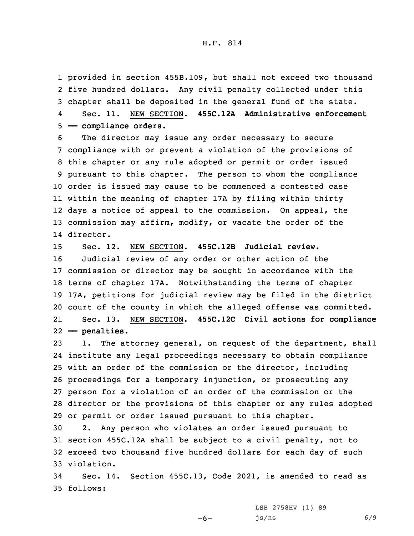provided in section 455B.109, but shall not exceed two thousand five hundred dollars. Any civil penalty collected under this chapter shall be deposited in the general fund of the state. 4 Sec. 11. NEW SECTION. **455C.12A Administrative enforcement —— compliance orders.**

 The director may issue any order necessary to secure compliance with or prevent <sup>a</sup> violation of the provisions of this chapter or any rule adopted or permit or order issued pursuant to this chapter. The person to whom the compliance order is issued may cause to be commenced <sup>a</sup> contested case within the meaning of chapter 17A by filing within thirty days <sup>a</sup> notice of appeal to the commission. On appeal, the commission may affirm, modify, or vacate the order of the director.

 Sec. 12. NEW SECTION. **455C.12B Judicial review.** Judicial review of any order or other action of the commission or director may be sought in accordance with the terms of chapter 17A. Notwithstanding the terms of chapter 17A, petitions for judicial review may be filed in the district court of the county in which the alleged offense was committed. 21 Sec. 13. NEW SECTION. **455C.12C Civil actions for compliance —— penalties.**

 1. The attorney general, on request of the department, shall institute any legal proceedings necessary to obtain compliance with an order of the commission or the director, including proceedings for <sup>a</sup> temporary injunction, or prosecuting any person for <sup>a</sup> violation of an order of the commission or the director or the provisions of this chapter or any rules adopted or permit or order issued pursuant to this chapter.

 2. Any person who violates an order issued pursuant to section 455C.12A shall be subject to <sup>a</sup> civil penalty, not to exceed two thousand five hundred dollars for each day of such violation.

34 Sec. 14. Section 455C.13, Code 2021, is amended to read as 35 follows:

 $-6-$ 

LSB 2758HV (1) 89  $js/ns$  6/9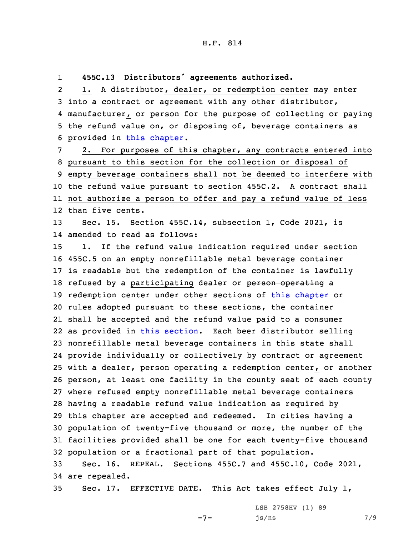1**455C.13 Distributors' agreements authorized.**

2 1. <sup>A</sup> distributor, dealer, or redemption center may enter into <sup>a</sup> contract or agreement with any other distributor, manufacturer, or person for the purpose of collecting or paying the refund value on, or disposing of, beverage containers as provided in this [chapter](https://www.legis.iowa.gov/docs/code/2021/455C.pdf).

 2. For purposes of this chapter, any contracts entered into pursuant to this section for the collection or disposal of empty beverage containers shall not be deemed to interfere with the refund value pursuant to section 455C.2. <sup>A</sup> contract shall not authorize <sup>a</sup> person to offer and pay <sup>a</sup> refund value of less than five cents.

13 Sec. 15. Section 455C.14, subsection 1, Code 2021, is 14 amended to read as follows:

 1. If the refund value indication required under section 455C.5 on an empty nonrefillable metal beverage container is readable but the redemption of the container is lawfully 18 refused by a participating dealer or person operating a redemption center under other sections of this [chapter](https://www.legis.iowa.gov/docs/code/2021/455C.pdf) or rules adopted pursuant to these sections, the container shall be accepted and the refund value paid to <sup>a</sup> consumer as provided in this [section](https://www.legis.iowa.gov/docs/code/2021/455C.14.pdf). Each beer distributor selling nonrefillable metal beverage containers in this state shall provide individually or collectively by contract or agreement 25 with a dealer, person operating a redemption center, or another person, at least one facility in the county seat of each county where refused empty nonrefillable metal beverage containers having <sup>a</sup> readable refund value indication as required by this chapter are accepted and redeemed. In cities having <sup>a</sup> population of twenty-five thousand or more, the number of the facilities provided shall be one for each twenty-five thousand population or <sup>a</sup> fractional part of that population. Sec. 16. REPEAL. Sections 455C.7 and 455C.10, Code 2021,

```
34 are repealed.
```
35 Sec. 17. EFFECTIVE DATE. This Act takes effect July 1,

-7-

LSB 2758HV (1) 89  $js/ns$  7/9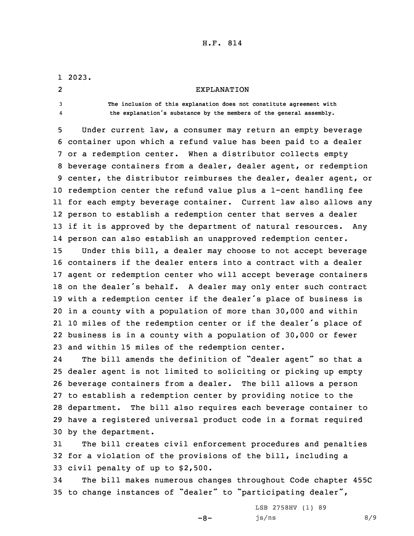## H.F. 814

1 2023. 2 EXPLANATION 3 **The inclusion of this explanation does not constitute agreement with** 4 **the explanation's substance by the members of the general assembly.** 5 Under current law, <sup>a</sup> consumer may return an empty beverage 6 container upon which <sup>a</sup> refund value has been paid to <sup>a</sup> dealer 7 or <sup>a</sup> redemption center. When <sup>a</sup> distributor collects empty

 beverage containers from <sup>a</sup> dealer, dealer agent, or redemption center, the distributor reimburses the dealer, dealer agent, or redemption center the refund value plus <sup>a</sup> 1-cent handling fee for each empty beverage container. Current law also allows any person to establish <sup>a</sup> redemption center that serves <sup>a</sup> dealer if it is approved by the department of natural resources. Any person can also establish an unapproved redemption center.

 Under this bill, <sup>a</sup> dealer may choose to not accept beverage containers if the dealer enters into <sup>a</sup> contract with <sup>a</sup> dealer agent or redemption center who will accept beverage containers on the dealer's behalf. <sup>A</sup> dealer may only enter such contract with <sup>a</sup> redemption center if the dealer's place of business is in <sup>a</sup> county with <sup>a</sup> population of more than 30,000 and within <sup>10</sup> miles of the redemption center or if the dealer's place of business is in <sup>a</sup> county with <sup>a</sup> population of 30,000 or fewer and within 15 miles of the redemption center.

24 The bill amends the definition of "dealer agent" so that <sup>a</sup> dealer agent is not limited to soliciting or picking up empty beverage containers from <sup>a</sup> dealer. The bill allows <sup>a</sup> person to establish <sup>a</sup> redemption center by providing notice to the department. The bill also requires each beverage container to have <sup>a</sup> registered universal product code in <sup>a</sup> format required by the department.

31 The bill creates civil enforcement procedures and penalties 32 for <sup>a</sup> violation of the provisions of the bill, including <sup>a</sup> 33 civil penalty of up to \$2,500.

34 The bill makes numerous changes throughout Code chapter 455C <sup>35</sup> to change instances of "dealer" to "participating dealer",

 $-8-$ 

LSB 2758HV (1) 89  $js/ns$  8/9